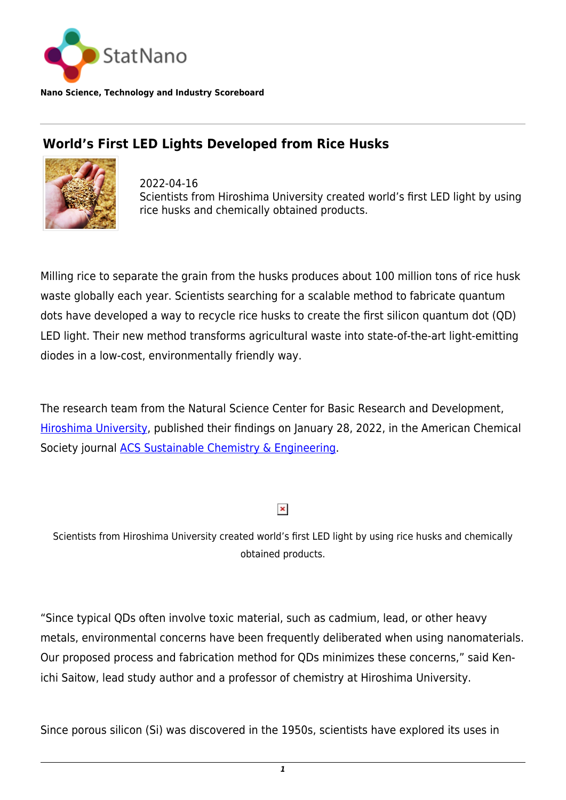

**Nano Science, Technology and Industry Scoreboard**

## **World's First LED Lights Developed from Rice Husks**



2022-04-16 Scientists from Hiroshima University created world's first LED light by using rice husks and chemically obtained products.

Milling rice to separate the grain from the husks produces about 100 million tons of rice husk waste globally each year. Scientists searching for a scalable method to fabricate quantum dots have developed a way to recycle rice husks to create the first silicon quantum dot (QD) LED light. Their new method transforms agricultural waste into state-of-the-art light-emitting diodes in a low-cost, environmentally friendly way.

The research team from the Natural Science Center for Basic Research and Development, [Hiroshima University](https://statnano.com/org/Hiroshima-University), published their findings on January 28, 2022, in the American Chemical Society journal [ACS Sustainable Chemistry & Engineering](https://pubs.acs.org/doi/10.1021/acssuschemeng.1c04985).

## $\pmb{\times}$

Scientists from Hiroshima University created world's first LED light by using rice husks and chemically obtained products.

"Since typical QDs often involve toxic material, such as cadmium, lead, or other heavy metals, environmental concerns have been frequently deliberated when using nanomaterials. Our proposed process and fabrication method for QDs minimizes these concerns," said Kenichi Saitow, lead study author and a professor of chemistry at Hiroshima University.

Since porous silicon (Si) was discovered in the 1950s, scientists have explored its uses in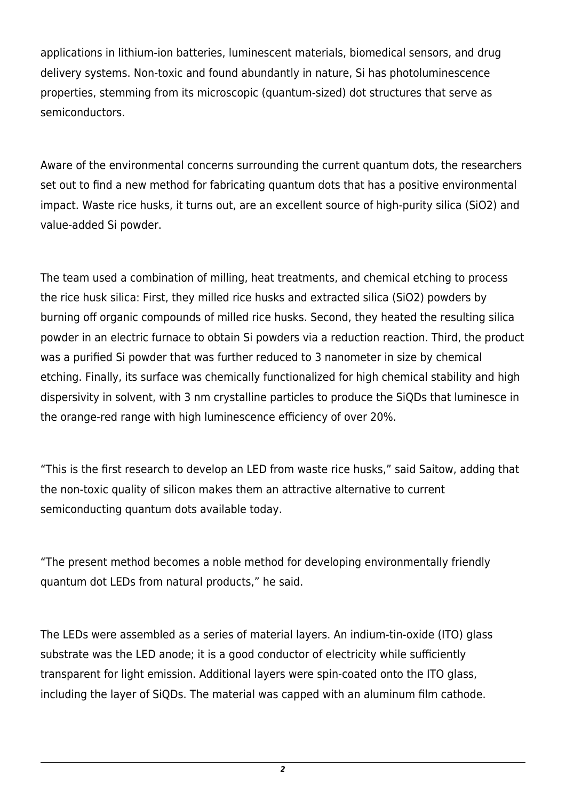applications in lithium-ion batteries, luminescent materials, biomedical sensors, and drug delivery systems. Non-toxic and found abundantly in nature, Si has photoluminescence properties, stemming from its microscopic (quantum-sized) dot structures that serve as semiconductors.

Aware of the environmental concerns surrounding the current quantum dots, the researchers set out to find a new method for fabricating quantum dots that has a positive environmental impact. Waste rice husks, it turns out, are an excellent source of high-purity silica (SiO2) and value-added Si powder.

The team used a combination of milling, heat treatments, and chemical etching to process the rice husk silica: First, they milled rice husks and extracted silica (SiO2) powders by burning off organic compounds of milled rice husks. Second, they heated the resulting silica powder in an electric furnace to obtain Si powders via a reduction reaction. Third, the product was a purified Si powder that was further reduced to 3 nanometer in size by chemical etching. Finally, its surface was chemically functionalized for high chemical stability and high dispersivity in solvent, with 3 nm crystalline particles to produce the SiQDs that luminesce in the orange-red range with high luminescence efficiency of over 20%.

"This is the first research to develop an LED from waste rice husks," said Saitow, adding that the non-toxic quality of silicon makes them an attractive alternative to current semiconducting quantum dots available today.

"The present method becomes a noble method for developing environmentally friendly quantum dot LEDs from natural products," he said.

The LEDs were assembled as a series of material layers. An indium-tin-oxide (ITO) glass substrate was the LED anode; it is a good conductor of electricity while sufficiently transparent for light emission. Additional layers were spin-coated onto the ITO glass, including the layer of SiQDs. The material was capped with an aluminum film cathode.